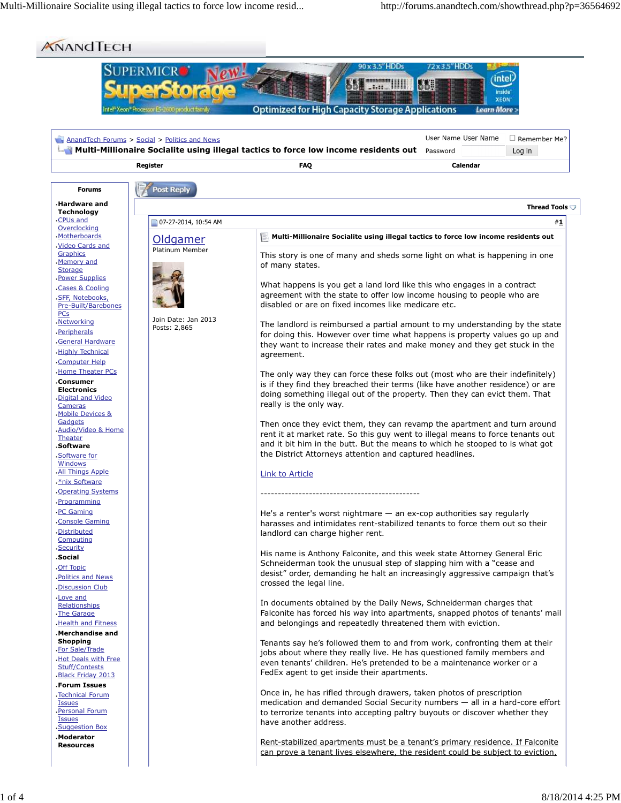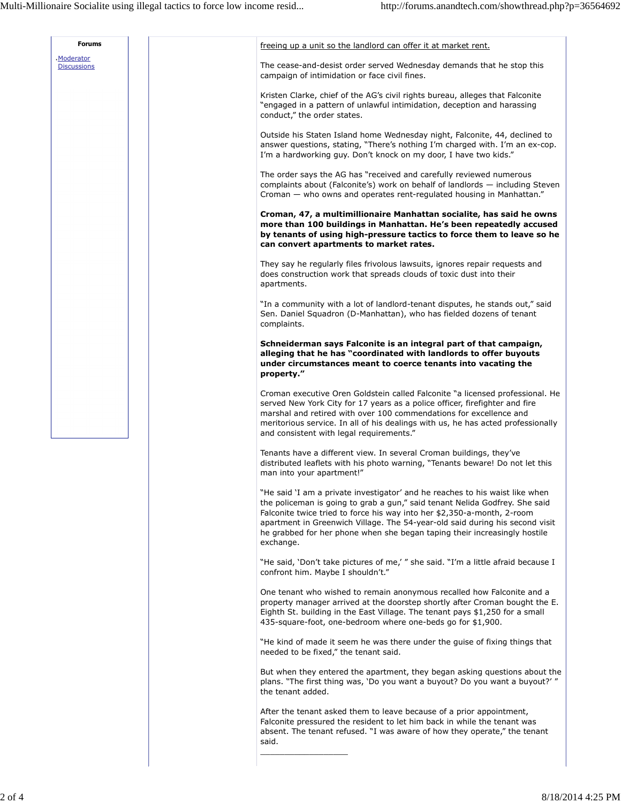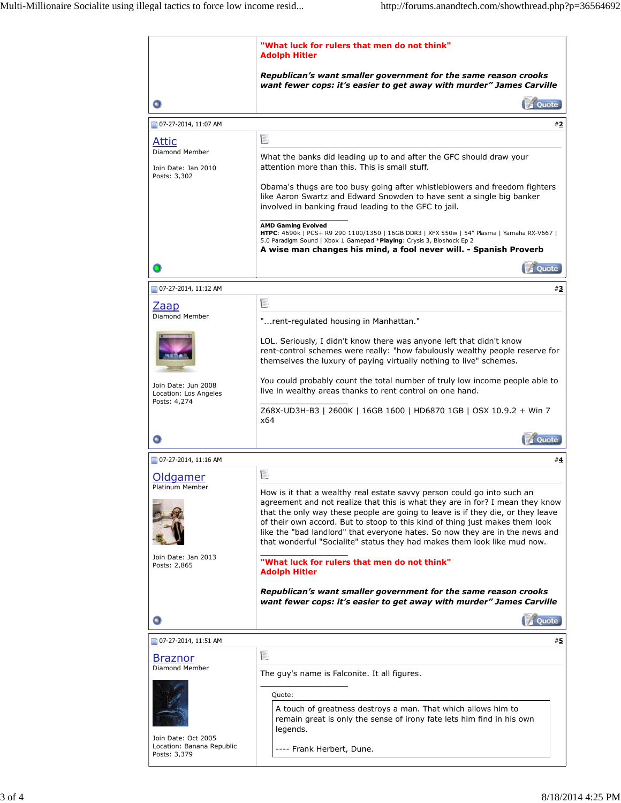